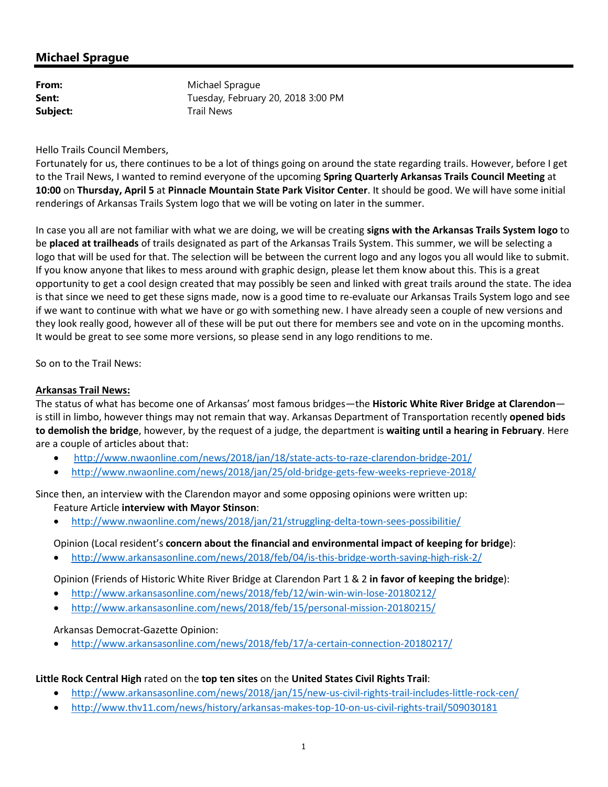# **Michael Sprague**

| From:    | Michael Sprague                    |
|----------|------------------------------------|
| Sent:    | Tuesday, February 20, 2018 3:00 PM |
| Subject: | <b>Trail News</b>                  |

Hello Trails Council Members,

Fortunately for us, there continues to be a lot of things going on around the state regarding trails. However, before I get to the Trail News, I wanted to remind everyone of the upcoming **Spring Quarterly Arkansas Trails Council Meeting** at **10:00** on **Thursday, April 5** at **Pinnacle Mountain State Park Visitor Center**. It should be good. We will have some initial renderings of Arkansas Trails System logo that we will be voting on later in the summer.

In case you all are not familiar with what we are doing, we will be creating **signs with the Arkansas Trails System logo** to be **placed at trailheads** of trails designated as part of the Arkansas Trails System. This summer, we will be selecting a logo that will be used for that. The selection will be between the current logo and any logos you all would like to submit. If you know anyone that likes to mess around with graphic design, please let them know about this. This is a great opportunity to get a cool design created that may possibly be seen and linked with great trails around the state. The idea is that since we need to get these signs made, now is a good time to re-evaluate our Arkansas Trails System logo and see if we want to continue with what we have or go with something new. I have already seen a couple of new versions and they look really good, however all of these will be put out there for members see and vote on in the upcoming months. It would be great to see some more versions, so please send in any logo renditions to me.

So on to the Trail News:

#### **Arkansas Trail News:**

The status of what has become one of Arkansas' most famous bridges—the **Historic White River Bridge at Clarendon** is still in limbo, however things may not remain that way. Arkansas Department of Transportation recently **opened bids to demolish the bridge**, however, by the request of a judge, the department is **waiting until a hearing in February**. Here are a couple of articles about that:

- http://www.nwaonline.com/news/2018/jan/18/state-acts-to-raze-clarendon-bridge-201/
- http://www.nwaonline.com/news/2018/jan/25/old-bridge-gets-few-weeks-reprieve-2018/

Since then, an interview with the Clarendon mayor and some opposing opinions were written up: Feature Article **interview with Mayor Stinson**:

• http://www.nwaonline.com/news/2018/jan/21/struggling-delta-town-sees-possibilitie/

#### Opinion (Local resident's **concern about the financial and environmental impact of keeping for bridge**):

• http://www.arkansasonline.com/news/2018/feb/04/is-this-bridge-worth-saving-high-risk-2/

Opinion (Friends of Historic White River Bridge at Clarendon Part 1 & 2 **in favor of keeping the bridge**):

- http://www.arkansasonline.com/news/2018/feb/12/win-win-win-lose-20180212/
- http://www.arkansasonline.com/news/2018/feb/15/personal-mission-20180215/

Arkansas Democrat-Gazette Opinion:

• http://www.arkansasonline.com/news/2018/feb/17/a-certain-connection-20180217/

#### **Little Rock Central High** rated on the **top ten sites** on the **United States Civil Rights Trail**:

- http://www.arkansasonline.com/news/2018/jan/15/new-us-civil-rights-trail-includes-little-rock-cen/
- http://www.thv11.com/news/history/arkansas-makes-top-10-on-us-civil-rights-trail/509030181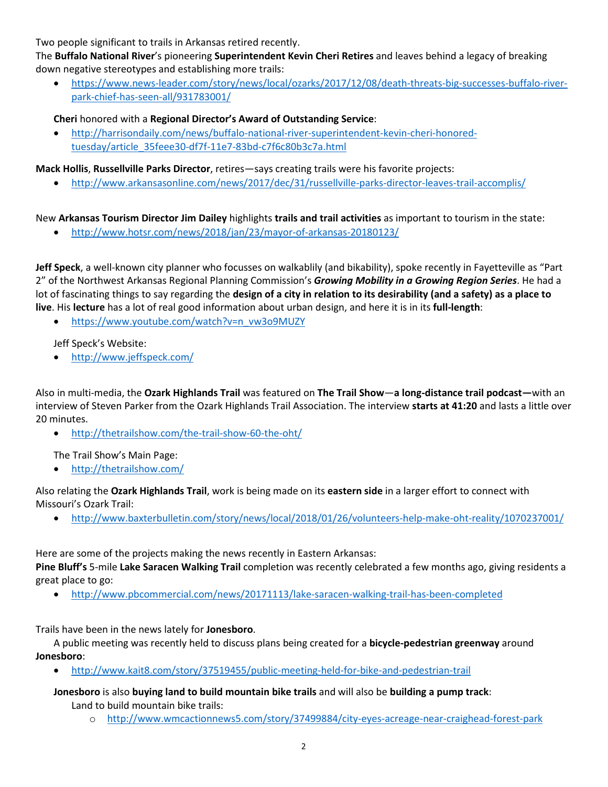Two people significant to trails in Arkansas retired recently.

The **Buffalo National River**'s pioneering **Superintendent Kevin Cheri Retires** and leaves behind a legacy of breaking down negative stereotypes and establishing more trails:

• https://www.news-leader.com/story/news/local/ozarks/2017/12/08/death-threats-big-successes-buffalo-riverpark-chief-has-seen-all/931783001/

### **Cheri** honored with a **Regional Director's Award of Outstanding Service**:

• http://harrisondaily.com/news/buffalo-national-river-superintendent-kevin-cheri-honoredtuesday/article\_35feee30-df7f-11e7-83bd-c7f6c80b3c7a.html

**Mack Hollis**, **Russellville Parks Director**, retires—says creating trails were his favorite projects:

• http://www.arkansasonline.com/news/2017/dec/31/russellville-parks-director-leaves-trail-accomplis/

New **Arkansas Tourism Director Jim Dailey** highlights **trails and trail activities** as important to tourism in the state:

• http://www.hotsr.com/news/2018/jan/23/mayor-of-arkansas-20180123/

**Jeff Speck**, a well-known city planner who focusses on walkablily (and bikability), spoke recently in Fayetteville as "Part 2" of the Northwest Arkansas Regional Planning Commission's *Growing Mobility in a Growing Region Series*. He had a lot of fascinating things to say regarding the **design of a city in relation to its desirability (and a safety) as a place to live**. His **lecture** has a lot of real good information about urban design, and here it is in its **full-length**:

• https://www.youtube.com/watch?v=n\_vw3o9MUZY

Jeff Speck's Website:

• http://www.jeffspeck.com/

Also in multi-media, the **Ozark Highlands Trail** was featured on **The Trail Show**—**a long-distance trail podcast—**with an interview of Steven Parker from the Ozark Highlands Trail Association. The interview **starts at 41:20** and lasts a little over 20 minutes.

• http://thetrailshow.com/the-trail-show-60-the-oht/

The Trail Show's Main Page:

• http://thetrailshow.com/

Also relating the **Ozark Highlands Trail**, work is being made on its **eastern side** in a larger effort to connect with Missouri's Ozark Trail:

• http://www.baxterbulletin.com/story/news/local/2018/01/26/volunteers-help-make-oht-reality/1070237001/

Here are some of the projects making the news recently in Eastern Arkansas:

**Pine Bluff's** 5-mile **Lake Saracen Walking Trail** completion was recently celebrated a few months ago, giving residents a great place to go:

• http://www.pbcommercial.com/news/20171113/lake-saracen-walking-trail-has-been-completed

Trails have been in the news lately for **Jonesboro**.

A public meeting was recently held to discuss plans being created for a **bicycle-pedestrian greenway** around **Jonesboro**:

• http://www.kait8.com/story/37519455/public-meeting-held-for-bike-and-pedestrian-trail

**Jonesboro** is also **buying land to build mountain bike trails** and will also be **building a pump track**: Land to build mountain bike trails:

o http://www.wmcactionnews5.com/story/37499884/city-eyes-acreage-near-craighead-forest-park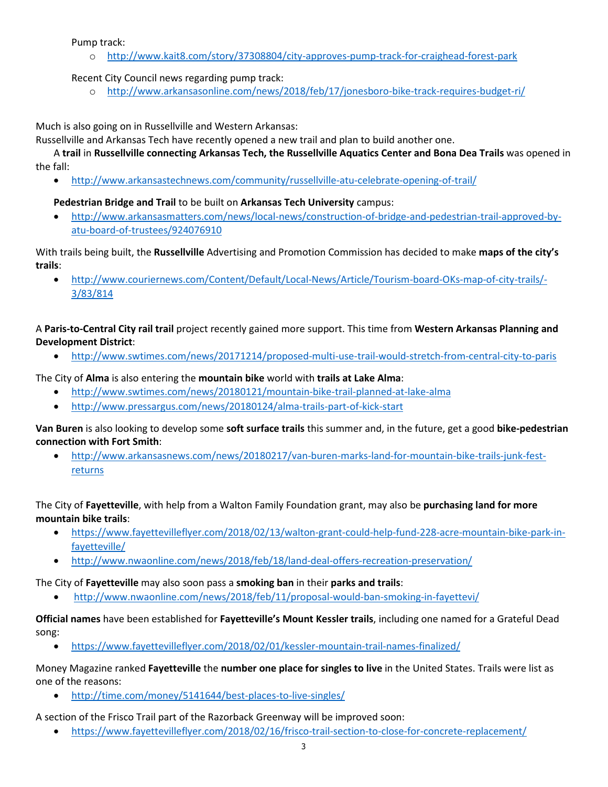Pump track:

o http://www.kait8.com/story/37308804/city-approves-pump-track-for-craighead-forest-park

### Recent City Council news regarding pump track:

o http://www.arkansasonline.com/news/2018/feb/17/jonesboro-bike-track-requires-budget-ri/

Much is also going on in Russellville and Western Arkansas:

Russellville and Arkansas Tech have recently opened a new trail and plan to build another one.

A **trail** in **Russellville connecting Arkansas Tech, the Russellville Aquatics Center and Bona Dea Trails** was opened in the fall:

• http://www.arkansastechnews.com/community/russellville-atu-celebrate-opening-of-trail/

### **Pedestrian Bridge and Trail** to be built on **Arkansas Tech University** campus:

• http://www.arkansasmatters.com/news/local-news/construction-of-bridge-and-pedestrian-trail-approved-byatu-board-of-trustees/924076910

With trails being built, the **Russellville** Advertising and Promotion Commission has decided to make **maps of the city's trails**:

• http://www.couriernews.com/Content/Default/Local-News/Article/Tourism-board-OKs-map-of-city-trails/- 3/83/814

A **Paris-to-Central City rail trail** project recently gained more support. This time from **Western Arkansas Planning and Development District**:

• http://www.swtimes.com/news/20171214/proposed-multi-use-trail-would-stretch-from-central-city-to-paris

The City of **Alma** is also entering the **mountain bike** world with **trails at Lake Alma**:

- http://www.swtimes.com/news/20180121/mountain-bike-trail-planned-at-lake-alma
- http://www.pressargus.com/news/20180124/alma-trails-part-of-kick-start

**Van Buren** is also looking to develop some **soft surface trails** this summer and, in the future, get a good **bike-pedestrian connection with Fort Smith**:

• http://www.arkansasnews.com/news/20180217/van-buren-marks-land-for-mountain-bike-trails-junk-festreturns

The City of **Fayetteville**, with help from a Walton Family Foundation grant, may also be **purchasing land for more mountain bike trails**:

- https://www.fayettevilleflyer.com/2018/02/13/walton-grant-could-help-fund-228-acre-mountain-bike-park-infayetteville/
- http://www.nwaonline.com/news/2018/feb/18/land-deal-offers-recreation-preservation/

The City of **Fayetteville** may also soon pass a **smoking ban** in their **parks and trails**:

• http://www.nwaonline.com/news/2018/feb/11/proposal-would-ban-smoking-in-fayettevi/

**Official names** have been established for **Fayetteville's Mount Kessler trails**, including one named for a Grateful Dead song:

• https://www.fayettevilleflyer.com/2018/02/01/kessler-mountain-trail-names-finalized/

Money Magazine ranked **Fayetteville** the **number one place for singles to live** in the United States. Trails were list as one of the reasons:

• http://time.com/money/5141644/best-places-to-live-singles/

A section of the Frisco Trail part of the Razorback Greenway will be improved soon:

• https://www.fayettevilleflyer.com/2018/02/16/frisco-trail-section-to-close-for-concrete-replacement/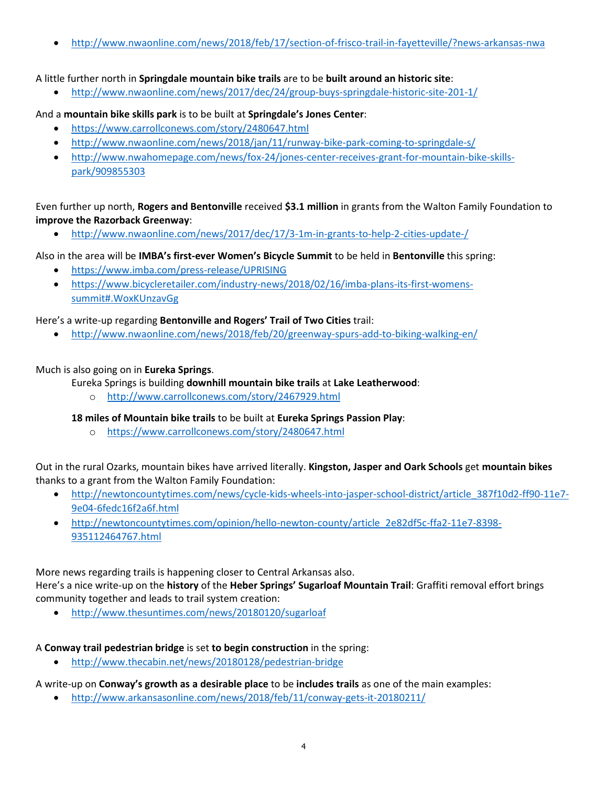• http://www.nwaonline.com/news/2018/feb/17/section-of-frisco-trail-in-fayetteville/?news-arkansas-nwa

#### A little further north in **Springdale mountain bike trails** are to be **built around an historic site**:

• http://www.nwaonline.com/news/2017/dec/24/group-buys-springdale-historic-site-201-1/

### And a **mountain bike skills park** is to be built at **Springdale's Jones Center**:

- https://www.carrollconews.com/story/2480647.html
- http://www.nwaonline.com/news/2018/jan/11/runway-bike-park-coming-to-springdale-s/
- http://www.nwahomepage.com/news/fox-24/jones-center-receives-grant-for-mountain-bike-skillspark/909855303

## Even further up north, **Rogers and Bentonville** received **\$3.1 million** in grants from the Walton Family Foundation to **improve the Razorback Greenway**:

• http://www.nwaonline.com/news/2017/dec/17/3-1m-in-grants-to-help-2-cities-update-/

### Also in the area will be **IMBA's first-ever Women's Bicycle Summit** to be held in **Bentonville** this spring:

- https://www.imba.com/press-release/UPRISING
- https://www.bicycleretailer.com/industry-news/2018/02/16/imba-plans-its-first-womenssummit#.WoxKUnzavGg

### Here's a write-up regarding **Bentonville and Rogers' Trail of Two Cities** trail:

• http://www.nwaonline.com/news/2018/feb/20/greenway-spurs-add-to-biking-walking-en/

### Much is also going on in **Eureka Springs**.

Eureka Springs is building **downhill mountain bike trails** at **Lake Leatherwood**:

o http://www.carrollconews.com/story/2467929.html

### **18 miles of Mountain bike trails** to be built at **Eureka Springs Passion Play**:

o https://www.carrollconews.com/story/2480647.html

Out in the rural Ozarks, mountain bikes have arrived literally. **Kingston, Jasper and Oark Schools** get **mountain bikes** thanks to a grant from the Walton Family Foundation:

- http://newtoncountytimes.com/news/cycle-kids-wheels-into-jasper-school-district/article\_387f10d2-ff90-11e7- 9e04-6fedc16f2a6f.html
- http://newtoncountytimes.com/opinion/hello-newton-county/article\_2e82df5c-ffa2-11e7-8398- 935112464767.html

More news regarding trails is happening closer to Central Arkansas also. Here's a nice write-up on the **history** of the **Heber Springs' Sugarloaf Mountain Trail**: Graffiti removal effort brings community together and leads to trail system creation:

• http://www.thesuntimes.com/news/20180120/sugarloaf

### A **Conway trail pedestrian bridge** is set **to begin construction** in the spring:

• http://www.thecabin.net/news/20180128/pedestrian-bridge

### A write-up on **Conway's growth as a desirable place** to be **includes trails** as one of the main examples:

• http://www.arkansasonline.com/news/2018/feb/11/conway-gets-it-20180211/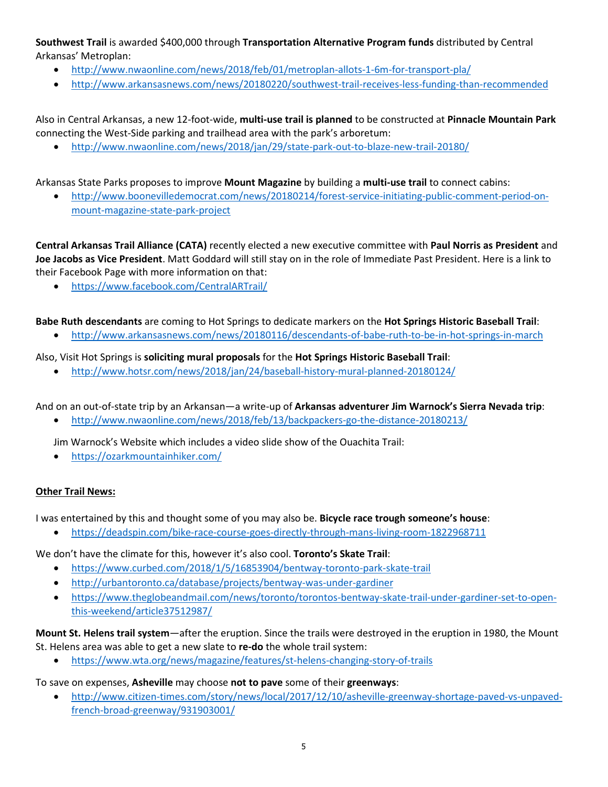## **Southwest Trail** is awarded \$400,000 through **Transportation Alternative Program funds** distributed by Central Arkansas' Metroplan:

- http://www.nwaonline.com/news/2018/feb/01/metroplan-allots-1-6m-for-transport-pla/
- http://www.arkansasnews.com/news/20180220/southwest-trail-receives-less-funding-than-recommended

Also in Central Arkansas, a new 12-foot-wide, **multi-use trail is planned** to be constructed at **Pinnacle Mountain Park** connecting the West-Side parking and trailhead area with the park's arboretum:

• http://www.nwaonline.com/news/2018/jan/29/state-park-out-to-blaze-new-trail-20180/

Arkansas State Parks proposes to improve **Mount Magazine** by building a **multi-use trail** to connect cabins:

• http://www.boonevilledemocrat.com/news/20180214/forest-service-initiating-public-comment-period-onmount-magazine-state-park-project

**Central Arkansas Trail Alliance (CATA)** recently elected a new executive committee with **Paul Norris as President** and **Joe Jacobs as Vice President**. Matt Goddard will still stay on in the role of Immediate Past President. Here is a link to their Facebook Page with more information on that:

• https://www.facebook.com/CentralARTrail/

### **Babe Ruth descendants** are coming to Hot Springs to dedicate markers on the **Hot Springs Historic Baseball Trail**:

• http://www.arkansasnews.com/news/20180116/descendants-of-babe-ruth-to-be-in-hot-springs-in-march

### Also, Visit Hot Springs is **soliciting mural proposals** for the **Hot Springs Historic Baseball Trail**:

• http://www.hotsr.com/news/2018/jan/24/baseball-history-mural-planned-20180124/

And on an out-of-state trip by an Arkansan—a write-up of **Arkansas adventurer Jim Warnock's Sierra Nevada trip**:

• http://www.nwaonline.com/news/2018/feb/13/backpackers-go-the-distance-20180213/

Jim Warnock's Website which includes a video slide show of the Ouachita Trail:

• https://ozarkmountainhiker.com/

#### **Other Trail News:**

I was entertained by this and thought some of you may also be. **Bicycle race trough someone's house**:

• https://deadspin.com/bike-race-course-goes-directly-through-mans-living-room-1822968711

### We don't have the climate for this, however it's also cool. **Toronto's Skate Trail**:

- https://www.curbed.com/2018/1/5/16853904/bentway-toronto-park-skate-trail
- http://urbantoronto.ca/database/projects/bentway-was-under-gardiner
- https://www.theglobeandmail.com/news/toronto/torontos-bentway-skate-trail-under-gardiner-set-to-openthis-weekend/article37512987/

#### **Mount St. Helens trail system**—after the eruption. Since the trails were destroyed in the eruption in 1980, the Mount St. Helens area was able to get a new slate to **re-do** the whole trail system:

• https://www.wta.org/news/magazine/features/st-helens-changing-story-of-trails

#### To save on expenses, **Asheville** may choose **not to pave** some of their **greenways**:

• http://www.citizen-times.com/story/news/local/2017/12/10/asheville-greenway-shortage-paved-vs-unpavedfrench-broad-greenway/931903001/